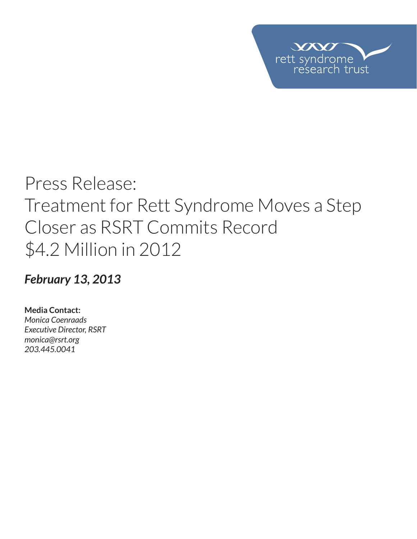

# Press Release: Treatment for Rett Syndrome Moves a Step Closer as RSRT Commits Record \$4.2 Million in 2012

### *February 13, 2013*

**Media Contact:**  *Monica Coenraads Executive Director, RSRT monica@rsrt.org 203.445.0041*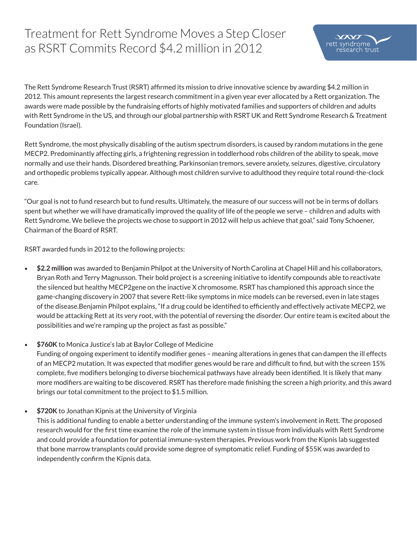## Treatment for Rett Syndrome Moves a Step Closer as RSRT Commits Record \$4.2 million in 2012



The Rett Syndrome Research Trust (RSRT) affirmed its mission to drive innovative science by awarding \$4.2 million in 2012. This amount represents the largest research commitment in a given year ever allocated by a Rett organization. The awards were made possible by the fundraising efforts of highly motivated families and supporters of children and adults with Rett Syndrome in the US, and through our global partnership with RSRT UK and Rett Syndrome Research & Treatment Foundation (Israel).

Rett Syndrome, the most physically disabling of the autism spectrum disorders, is caused by random mutations in the gene MECP2. Predominantly affecting girls, a frightening regression in toddlerhood robs children of the ability to speak, move normally and use their hands. Disordered breathing, Parkinsonian tremors, severe anxiety, seizures, digestive, circulatory and orthopedic problems typically appear. Although most children survive to adulthood they require total round-the-clock care.

"Our goal is not to fund research but to fund results. Ultimately, the measure of our success will not be in terms of dollars spent but whether we will have dramatically improved the quality of life of the people we serve – children and adults with Rett Syndrome. We believe the projects we chose to support in 2012 will help us achieve that goal," said Tony Schoener, Chairman of the Board of RSRT.

RSRT awarded funds in 2012 to the following projects:

- • **\$2.2 million** was awarded to Benjamin Philpot at the University of North Carolina at Chapel Hill and his collaborators, Bryan Roth and Terry Magnusson. Their bold project is a screening initiative to identify compounds able to reactivate the silenced but healthy MECP2gene on the inactive X chromosome. RSRT has championed this approach since the game-changing discovery in 2007 that severe Rett-like symptoms in mice models can be reversed, even in late stages of the disease.Benjamin Philpot explains, "If a drug could be identified to efficiently and effectively activate MECP2, we would be attacking Rett at its very root, with the potential of reversing the disorder. Our entire team is excited about the possibilities and we're ramping up the project as fast as possible."
- • **\$760K** to Monica Justice's lab at Baylor College of Medicine

Funding of ongoing experiment to identify modifier genes – meaning alterations in genes that can dampen the ill effects of an MECP2 mutation. It was expected that modifier genes would be rare and difficult to find, but with the screen 15% complete, five modifiers belonging to diverse biochemical pathways have already been identified. It is likely that many more modifiers are waiting to be discovered. RSRT has therefore made finishing the screen a high priority, and this award brings our total commitment to the project to \$1.5 million.

\$720K to Jonathan Kipnis at the University of Virginia

This is additional funding to enable a better understanding of the immune system's involvement in Rett. The proposed research would for the first time examine the role of the immune system in tissue from individuals with Rett Syndrome and could provide a foundation for potential immune-system therapies. Previous work from the Kipnis lab suggested that bone marrow transplants could provide some degree of symptomatic relief. Funding of \$55K was awarded to independently confirm the Kipnis data.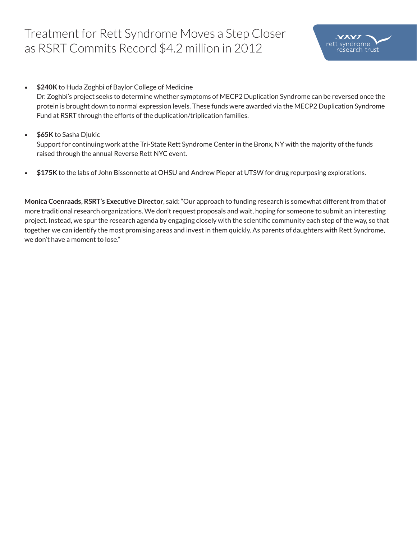### Treatment for Rett Syndrome Moves a Step Closer as RSRT Commits Record \$4.2 million in 2012



• **\$240K** to Huda Zoghbi of Baylor College of Medicine

Dr. Zoghbi's project seeks to determine whether symptoms of MECP2 Duplication Syndrome can be reversed once the protein is brought down to normal expression levels. These funds were awarded via the MECP2 Duplication Syndrome Fund at RSRT through the efforts of the duplication/triplication families.

• **\$65K** to Sasha Djukic

Support for continuing work at the Tri-State Rett Syndrome Center in the Bronx, NY with the majority of the funds raised through the annual Reverse Rett NYC event.

• **\$175K** to the labs of John Bissonnette at OHSU and Andrew Pieper at UTSW for drug repurposing explorations.

**Monica Coenraads, RSRT's Executive Director**, said: "Our approach to funding research is somewhat different from that of more traditional research organizations. We don't request proposals and wait, hoping for someone to submit an interesting project. Instead, we spur the research agenda by engaging closely with the scientific community each step of the way, so that together we can identify the most promising areas and invest in them quickly. As parents of daughters with Rett Syndrome, we don't have a moment to lose."